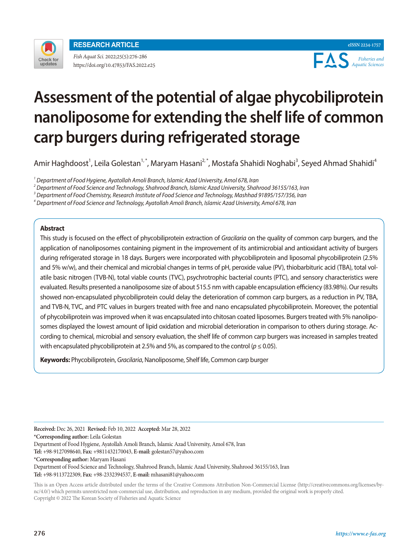

*Fish Aquat Sci.* 2022;25(5):276-286 https://doi.org/10.47853/FAS.2022.e25

**eISSN 2234-1757** EAS *Fisheries and Aquatic Sciences*

# **Assessment of the potential of algae phycobiliprotein nanoliposome for extending the shelf life of common carp burgers during refrigerated storage**

Amir Haghdoost<sup>1</sup>, Leila Golestan<sup>1,\*</sup>, Maryam Hasani<sup>2,\*</sup>, Mostafa Shahidi Noghabi<sup>3</sup>, Seyed Ahmad Shahidi<sup>4</sup>

*1 Department of Food Hygiene, Ayatollah Amoli Branch, Islamic Azad University, Amol 678, Iran*

*2 Department of Food Science and Technology, Shahrood Branch, Islamic Azad University, Shahrood 36155/163, Iran*

*3 Department of Food Chemistry, Research Institute of Food Science and Technology, Mashhad 91895/157/356, Iran*

*4 Department of Food Science and Technology, Ayatollah Amoli Branch, Islamic Azad University, Amol 678, Iran*

## **Abstract**

This study is focused on the effect of phycobiliprotein extraction of *Gracilaria* on the quality of common carp burgers, and the application of nanoliposomes containing pigment in the improvement of its antimicrobial and antioxidant activity of burgers during refrigerated storage in 18 days. Burgers were incorporated with phycobiliprotein and liposomal phycobiliprotein (2.5% and 5% w/w), and their chemical and microbial changes in terms of pH, peroxide value (PV), thiobarbituric acid (TBA), total volatile basic nitrogen (TVB-N), total viable counts (TVC), psychrotrophic bacterial counts (PTC), and sensory characteristics were evaluated. Results presented a nanoliposome size of about 515.5 nm with capable encapsulation efficiency (83.98%). Our results showed non-encapsulated phycobiliprotein could delay the deterioration of common carp burgers, as a reduction in PV, TBA, and TVB-N, TVC, and PTC values in burgers treated with free and nano encapsulated phycobiliprotein. Moreover, the potential of phycobiliprotein was improved when it was encapsulated into chitosan coated liposomes. Burgers treated with 5% nanoliposomes displayed the lowest amount of lipid oxidation and microbial deterioration in comparison to others during storage. According to chemical, microbial and sensory evaluation, the shelf life of common carp burgers was increased in samples treated with encapsulated phycobiliprotein at 2.5% and 5%, as compared to the control ( $p \le 0.05$ ).

**Keywords:** Phycobiliprotein, *Gracilaria*, Nanoliposome, Shelf life, Common carp burger

**Received:** Dec 26, 2021 **Revised:** Feb 10, 2022 **Accepted:** Mar 28, 2022 **\*Corresponding author:** Leila Golestan Department of Food Hygiene, Ayatollah Amoli Branch, Islamic Azad University, Amol 678, Iran **Tel:** +98-9127098640, **Fax:** +9811432170043, **E-mail:** golestan57@yahoo.com **\*Corresponding author:** Maryam Hasani Department of Food Science and Technology, Shahrood Branch, Islamic Azad University, Shahrood 36155/163, Iran **Tel:** +98-9113722309, **Fax:** +98-2332394537, **E-mail:** mhasani81@yahoo.com

This is an Open Access article distributed under the terms of the Creative Commons Attribution Non-Commercial License (http://creativecommons.org/licenses/bync/4.0/) which permits unrestricted non-commercial use, distribution, and reproduction in any medium, provided the original work is properly cited. Copyright © 2022 The Korean Society of Fisheries and Aquatic Science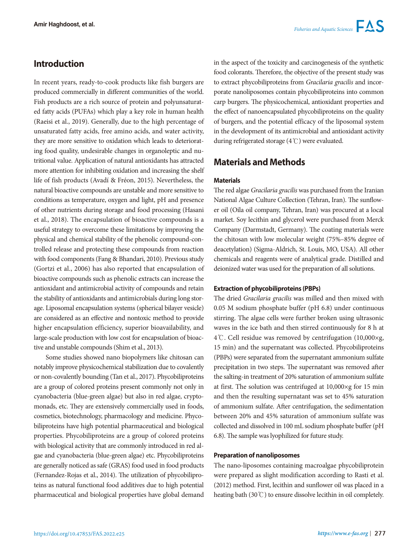# **Introduction**

In recent years, ready-to-cook products like fish burgers are produced commercially in different communities of the world. Fish products are a rich source of protein and polyunsaturated fatty acids (PUFAs) which play a key role in human health (Raeisi et al., 2019). Generally, due to the high percentage of unsaturated fatty acids, free amino acids, and water activity, they are more sensitive to oxidation which leads to deteriorating food quality, undesirable changes in organoleptic and nutritional value. Application of natural antioxidants has attracted more attention for inhibiting oxidation and increasing the shelf life of fish products (Avadí & Fréon, 2015). Nevertheless, the natural bioactive compounds are unstable and more sensitive to conditions as temperature, oxygen and light, pH and presence of other nutrients during storage and food processing (Hasani et al., 2018). The encapsulation of bioactive compounds is a useful strategy to overcome these limitations by improving the physical and chemical stability of the phenolic compound-controlled release and protecting these compounds from reaction with food components (Fang & Bhandari, 2010). Previous study (Gortzi et al., 2006) has also reported that encapsulation of bioactive compounds such as phenolic extracts can increase the antioxidant and antimicrobial activity of compounds and retain the stability of antioxidants and antimicrobials during long storage. Liposomal encapsulation systems (spherical bilayer vesicle) are considered as an effective and nontoxic method to provide higher encapsulation efficiency, superior bioavailability, and large-scale production with low cost for encapsulation of bioactive and unstable compounds (Shim et al., 2013).

Some studies showed nano biopolymers like chitosan can notably improve physicochemical stabilization due to covalently or non-covalently bounding (Tan et al., 2017). Phycobiliproteins are a group of colored proteins present commonly not only in cyanobacteria (blue-green algae) but also in red algae, cryptomonads, etc. They are extensively commercially used in foods, cosmetics, biotechnology, pharmacology and medicine. Phycobiliproteins have high potential pharmaceutical and biological properties. Phycobiliproteins are a group of colored proteins with biological activity that are commonly introduced in red algae and cyanobacteria (blue-green algae) etc. Phycobiliproteins are generally noticed as safe (GRAS) food used in food products (Fernandez-Rojas et al., 2014). The utilization of phycobiliproteins as natural functional food additives due to high potential pharmaceutical and biological properties have global demand in the aspect of the toxicity and carcinogenesis of the synthetic food colorants. Therefore, the objective of the present study was to extract phycobiliproteins from *Gracilaria gracilis* and incorporate nanoliposomes contain phycobiliproteins into common carp burgers. The physicochemical, antioxidant properties and the effect of nanoencapsulated phycobiliproteins on the quality of burgers, and the potential efficacy of the liposomal system in the development of its antimicrobial and antioxidant activity during refrigerated storage (4℃) were evaluated.

# **Materials and Methods**

## **Materials**

The red algae *Gracilaria gracilis* was purchased from the Iranian National Algae Culture Collection (Tehran, Iran). The sunflower oil (Oila oil company, Tehran, Iran) was procured at a local market. Soy lecithin and glycerol were purchased from Merck Company (Darmstadt, Germany). The coating materials were the chitosan with low molecular weight (75%–85% degree of deacetylation) (Sigma-Aldrich, St. Louis, MO, USA). All other chemicals and reagents were of analytical grade. Distilled and deionized water was used for the preparation of all solutions.

#### **Extraction of phycobiliproteins (PBPs)**

The dried *Gracilaria gracilis* was milled and then mixed with 0.05 M sodium phosphate buffer (pH 6.8) under continuous stirring. The algae cells were further broken using ultrasonic waves in the ice bath and then stirred continuously for 8 h at 4℃. Cell residue was removed by centrifugation (10,000×g, 15 min) and the supernatant was collected. Phycobiliproteins (PBPs) were separated from the supernatant ammonium sulfate precipitation in two steps. The supernatant was removed after the salting-in treatment of 20% saturation of ammonium sulfate at first. The solution was centrifuged at 10,000×g for 15 min and then the resulting supernatant was set to 45% saturation of ammonium sulfate. After centrifugation, the sedimentation between 20% and 45% saturation of ammonium sulfate was collected and dissolved in 100 mL sodium phosphate buffer (pH 6.8). The sample was lyophilized for future study.

#### **Preparation of nanoliposomes**

The nano-liposomes containing macroalgae phycobiliprotein were prepared as slight modification according to Rasti et al. (2012) method. First, lecithin and sunflower oil was placed in a heating bath (30℃) to ensure dissolve lecithin in oil completely.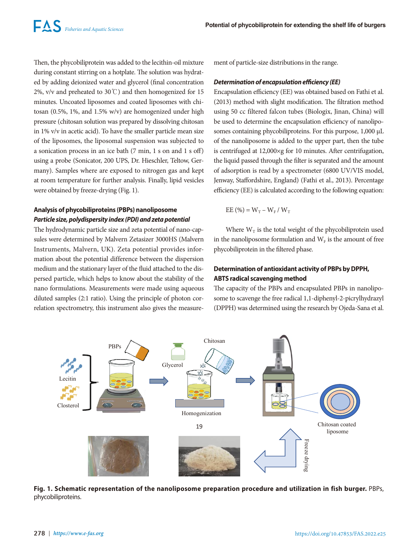Then, the phycobiliprotein was added to the lecithin-oil mixture during constant stirring on a hotplate. The solution was hydrated by adding deionized water and glycerol (final concentration 2%, v/v and preheated to 30℃) and then homogenized for 15 minutes. Uncoated liposomes and coated liposomes with chitosan (0.5%, 1%, and 1.5% w/v) are homogenized under high pressure (chitosan solution was prepared by dissolving chitosan in 1% v/v in acetic acid). To have the smaller particle mean size of the liposomes, the liposomal suspension was subjected to a sonication process in an ice bath (7 min, 1 s on and 1 s off) using a probe (Sonicator, 200 UPS, Dr. Hieschler, Teltow, Germany). Samples where are exposed to nitrogen gas and kept at room temperature for further analysis. Finally, lipid vesicles were obtained by freeze-drying (Fig. 1).

# **Analysis of phycobiliproteins (PBPs) nanoliposome** *Particle size, polydispersity index (PDI) and zeta potential*

The hydrodynamic particle size and zeta potential of nano-capsules were determined by Malvern Zetasizer 3000HS (Malvern Instruments, Malvern, UK). Zeta potential provides information about the potential difference between the dispersion medium and the stationary layer of the fluid attached to the dispersed particle, which helps to know about the stability of the nano formulations. Measurements were made using aqueous diluted samples (2:1 ratio). Using the principle of photon correlation spectrometry, this instrument also gives the measurement of particle-size distributions in the range.

#### *Determination of encapsulation efficiency (EE)*

Encapsulation efficiency (EE) was obtained based on Fathi et al. (2013) method with slight modification. The filtration method using 50 cc filtered falcon tubes (Biologix, Jinan, China) will be used to determine the encapsulation efficiency of nanoliposomes containing phycobiliproteins. For this purpose, 1,000 μL of the nanoliposome is added to the upper part, then the tube is centrifuged at 12,000×g for 10 minutes. After centrifugation, the liquid passed through the filter is separated and the amount of adsorption is read by a spectrometer (6800 UV/VIS model, Jenway, Staffordshire, England) (Fathi et al., 2013). Percentage efficiency (EE) is calculated according to the following equation:

$$
EE(%) = W_T - W_F / W_T
$$

Where  $W_T$  is the total weight of the phycobiliprotein used in the nanoliposome formulation and  $W_F$  is the amount of free phycobiliprotein in the filtered phase.

## **Determination of antioxidant activity of PBPs by DPPH, ABTS radical scavenging method**

The capacity of the PBPs and encapsulated PBPs in nanoliposome to scavenge the free radical 1,1-diphenyl-2-picrylhydrazyl (DPPH) was determined using the research by Ojeda-Sana et al.



**Fig. 1. Schematic representation of the nanoliposome preparation procedure and utilization in fish burger.** PBPs, phycobiliproteins.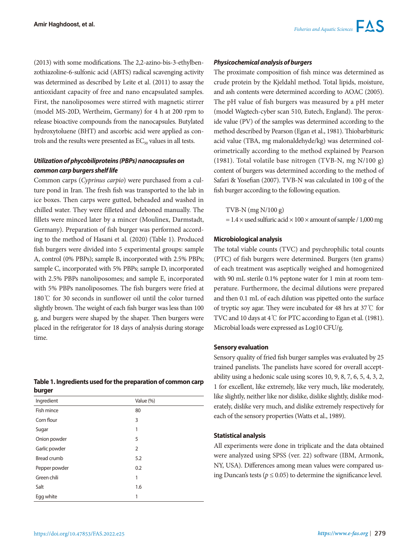(2013) with some modifications. The 2,2-azino-bis-3-ethylbenzothiazoline-6-sulfonic acid (ABTS) radical scavenging activity was determined as described by Leite et al. (2011) to assay the antioxidant capacity of free and nano encapsulated samples. First, the nanoliposomes were stirred with magnetic stirrer (model MS-20D, Wertheim, Germany) for 4 h at 200 rpm to release bioactive compounds from the nanocapsules. Butylated hydroxytoluene (BHT) and ascorbic acid were applied as controls and the results were presented as  $EC_{50}$  values in all tests.

# *Utilization of phycobiliproteins (PBPs) nanocapsules on common carp burgers shelf life*

Common carps (*Cyprinus carpio*) were purchased from a culture pond in Iran. The fresh fish was transported to the lab in ice boxes. Then carps were gutted, beheaded and washed in chilled water. They were filleted and deboned manually. The fillets were minced later by a mincer (Moulinex, Darmstadt, Germany). Preparation of fish burger was performed according to the method of Hasani et al. (2020) (Table 1). Produced fish burgers were divided into 5 experimental groups: sample A, control (0% PBPs); sample B, incorporated with 2.5% PBPs; sample C, incorporated with 5% PBPs; sample D, incorporated with 2.5% PBPs nanoliposomes; and sample E, incorporated with 5% PBPs nanoliposomes. The fish burgers were fried at 180℃ for 30 seconds in sunflower oil until the color turned slightly brown. The weight of each fish burger was less than 100 g, and burgers were shaped by the shaper. Then burgers were placed in the refrigerator for 18 days of analysis during storage time.

| Table 1. Ingredients used for the preparation of common carp |  |
|--------------------------------------------------------------|--|
| burger                                                       |  |

| Ingredient         | Value (%)      |
|--------------------|----------------|
| Fish mince         | 80             |
| Corn flour         | 3              |
| Sugar              | 1              |
| Onion powder       | 5              |
| Garlic powder      | $\overline{2}$ |
| <b>Bread crumb</b> | 5.2            |
| Pepper powder      | 0.2            |
| Green chili        | 1              |
| Salt               | 1.6            |
| Egg white          | 1              |

#### *Physicochemical analysis of burgers*

The proximate composition of fish mince was determined as crude protein by the Kjeldahl method. Total lipids, moisture, and ash contents were determined according to AOAC (2005). The pH value of fish burgers was measured by a pH meter (model Wagtech-cyber scan 510, Eutech, England). The peroxide value (PV) of the samples was determined according to the method described by Pearson (Egan et al., 1981). Thiobarbituric acid value (TBA, mg malonaldehyde/kg) was determined colorimetrically according to the method explained by Pearson (1981). Total volatile base nitrogen (TVB-N, mg N/100 g) content of burgers was determined according to the method of Safari & Yosefian (2007). TVB-N was calculated in 100 g of the fish burger according to the following equation.

TVB-N (mg N/100 g)

 $= 1.4 \times$  used sulfuric acid  $\times 100 \times$  amount of sample / 1,000 mg

#### **Microbiological analysis**

The total viable counts (TVC) and psychrophilic total counts (PTC) of fish burgers were determined. Burgers (ten grams) of each treatment was aseptically weighed and homogenized with 90 mL sterile 0.1% peptone water for 1 min at room temperature. Furthermore, the decimal dilutions were prepared and then 0.1 mL of each dilution was pipetted onto the surface of tryptic soy agar. They were incubated for 48 hrs at 37℃ for TVC and 10 days at 4℃ for PTC according to Egan et al. (1981). Microbial loads were expressed as Log10 CFU/g.

#### **Sensory evaluation**

Sensory quality of fried fish burger samples was evaluated by 25 trained panelists. The panelists have scored for overall acceptability using a hedonic scale using scores 10, 9, 8, 7, 6, 5, 4, 3, 2, 1 for excellent, like extremely, like very much, like moderately, like slightly, neither like nor dislike, dislike slightly, dislike moderately, dislike very much, and dislike extremely respectively for each of the sensory properties (Watts et al., 1989).

#### **Statistical analysis**

All experiments were done in triplicate and the data obtained were analyzed using SPSS (ver. 22) software (IBM, Armonk, NY, USA). Differences among mean values were compared using Duncan's tests ( $p \le 0.05$ ) to determine the significance level.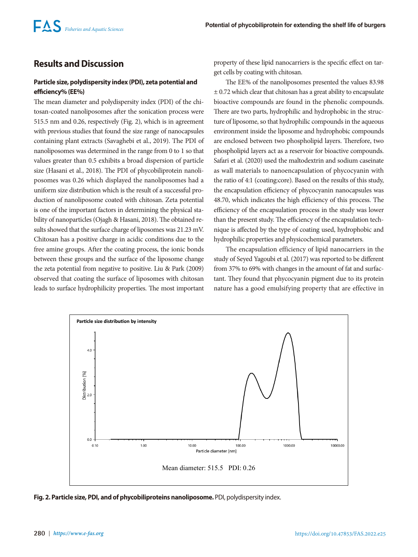# **Results and Discussion**

## **Particle size, polydispersity index (PDI), zeta potential and efficiency% (EE%)**

The mean diameter and polydispersity index (PDI) of the chitosan-coated nanoliposomes after the sonication process were 515.5 nm and 0.26, respectively (Fig. 2), which is in agreement with previous studies that found the size range of nanocapsules containing plant extracts (Savaghebi et al., 2019). The PDI of nanoliposomes was determined in the range from 0 to 1 so that values greater than 0.5 exhibits a broad dispersion of particle size (Hasani et al., 2018). The PDI of phycobiliprotein nanoliposomes was 0.26 which displayed the nanoliposomes had a uniform size distribution which is the result of a successful production of nanoliposome coated with chitosan. Zeta potential is one of the important factors in determining the physical stability of nanoparticles (Ojagh & Hasani, 2018). The obtained results showed that the surface charge of liposomes was 21.23 mV. Chitosan has a positive charge in acidic conditions due to the free amine groups. After the coating process, the ionic bonds between these groups and the surface of the liposome change the zeta potential from negative to positive. Liu & Park (2009) observed that coating the surface of liposomes with chitosan leads to surface hydrophilicity properties. The most important property of these lipid nanocarriers is the specific effect on target cells by coating with chitosan.

The EE% of the nanoliposomes presented the values 83.98  $\pm$  0.72 which clear that chitosan has a great ability to encapsulate bioactive compounds are found in the phenolic compounds. There are two parts, hydrophilic and hydrophobic in the structure of liposome, so that hydrophilic compounds in the aqueous environment inside the liposome and hydrophobic compounds are enclosed between two phospholipid layers. Therefore, two phospholipid layers act as a reservoir for bioactive compounds. Safari et al. (2020) used the maltodextrin and sodium caseinate as wall materials to nanoencapsulation of phycocyanin with the ratio of 4:1 (coating:core). Based on the results of this study, the encapsulation efficiency of phycocyanin nanocapsules was 48.70, which indicates the high efficiency of this process. The efficiency of the encapsulation process in the study was lower than the present study. The efficiency of the encapsulation technique is affected by the type of coating used, hydrophobic and hydrophilic properties and physicochemical parameters.

The encapsulation efficiency of lipid nanocarriers in the study of Seyed Yagoubi et al. (2017) was reported to be different from 37% to 69% with changes in the amount of fat and surfactant. They found that phycocyanin pigment due to its protein nature has a good emulsifying property that are effective in



**Fig. 2. Particle size, PDI, and of phycobiliproteins nanoliposome.** PDI, polydispersity index.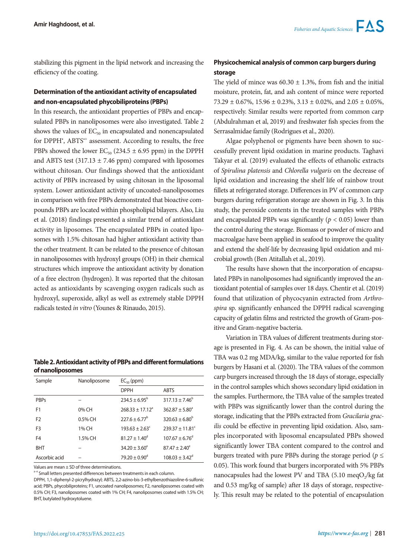stabilizing this pigment in the lipid network and increasing the efficiency of the coating.

# **Determination of the antioxidant activity of encapsulated and non-encapsulated phycobiliproteins (PBPs)**

In this research, the antioxidant properties of PBPs and encapsulated PBPs in nanoliposomes were also investigated. Table 2 shows the values of  $EC_{50}$  in encapsulated and nonencapsulated for DPPH', ABTS<sup>\*\*</sup> assessment. According to results, the free PBPs showed the lower  $EC_{50}$  (234.5  $\pm$  6.95 ppm) in the DPPH and ABTS test  $(317.13 \pm 7.46$  ppm) compared with liposomes without chitosan. Our findings showed that the antioxidant activity of PBPs increased by using chitosan in the liposomal system. Lower antioxidant activity of uncoated-nanoliposomes in comparison with free PBPs demonstrated that bioactive compounds PBPs are located within phospholipid bilayers. Also, Liu et al. (2018) findings presented a similar trend of antioxidant activity in liposomes. The encapsulated PBPs in coated liposomes with 1.5% chitosan had higher antioxidant activity than the other treatment. It can be related to the presence of chitosan in nanoliposomes with hydroxyl groups (OH) in their chemical structures which improve the antioxidant activity by donation of a free electron (hydrogen). It was reported that the chitosan acted as antioxidants by scavenging oxygen radicals such as hydroxyl, superoxide, alkyl as well as extremely stable DPPH radicals tested *in vitro* (Younes & Rinaudo, 2015).

## **Table 2. Antioxidant activity of PBPs and different formulations of nanoliposomes**

| Sample         | Nanoliposome | $EC_{50}$ (ppm)          |                                 |  |
|----------------|--------------|--------------------------|---------------------------------|--|
|                |              | <b>DPPH</b>              | <b>ABTS</b>                     |  |
| <b>PBPs</b>    |              | $234.5 \pm 6.95^{\circ}$ | $317.13 \pm 7.46^b$             |  |
| F1             | 0% CH        | $768.33 + 17.12a$        | $362.87 \pm 5.80^{\circ}$       |  |
| F <sub>2</sub> | 0.5% CH      | $227.6 \pm 6.77^{\circ}$ | $320.63 \pm 6.80^b$             |  |
| F <sub>3</sub> | 1% CH        | $193.63 + 2.63^c$        | $239.37 \pm 11.81$ <sup>c</sup> |  |
| F4             | 1.5% CH      | $81.27 + 1.40^d$         | $107.67 + 6.76^d$               |  |
| <b>BHT</b>     |              | $34.20 \pm 3.60^{\circ}$ | $87.47 \pm 2.40^{\circ}$        |  |
| Ascorbic acid  |              | $79.20 \pm 0.90^{\circ}$ | $108.03 \pm 3.42$ <sup>d</sup>  |  |

Values are mean  $\pm$  SD of three determinations.

a-e Small letters presented differences between treatments in each column.

# **Physicochemical analysis of common carp burgers during storage**

The yield of mince was  $60.30 \pm 1.3$ %, from fish and the initial moisture, protein, fat, and ash content of mince were reported  $73.29 \pm 0.67\%$ ,  $15.96 \pm 0.23\%$ ,  $3.13 \pm 0.02\%$ , and  $2.05 \pm 0.05\%$ , respectively. Similar results were reported from common carp (Abdulrahman et al, 2019) and freshwater fish species from the Serrasalmidae family (Rodrigues et al., 2020).

Algae polyphenol or pigments have been shown to successfully prevent lipid oxidation in marine products. Taghavi Takyar et al. (2019) evaluated the effects of ethanolic extracts of *Spirulina platensis* and *Chlorella vulgaris* on the decrease of lipid oxidation and increasing the shelf life of rainbow trout fillets at refrigerated storage. Differences in PV of common carp burgers during refrigeration storage are shown in Fig. 3. In this study, the peroxide contents in the treated samples with PBPs and encapsulated PBPs was significantly  $(p < 0.05)$  lower than the control during the storage. Biomass or powder of micro and macroalgae have been applied in seafood to improve the quality and extend the shelf-life by decreasing lipid oxidation and microbial growth (Ben Atitallah et al., 2019).

The results have shown that the incorporation of encapsulated PBPs in nanoliposomes had significantly improved the antioxidant potential of samples over 18 days. Chentir et al. (2019) found that utilization of phycocyanin extracted from *Arthrospira* sp. significantly enhanced the DPPH radical scavenging capacity of gelatin films and restricted the growth of Gram-positive and Gram-negative bacteria.

Variation in TBA values of different treatments during storage is presented in Fig. 4. As can be shown, the initial value of TBA was 0.2 mg MDA/kg, similar to the value reported for fish burgers by Hasani et al. (2020). The TBA values of the common carp burgers increased through the 18 days of storage, especially in the control samples which shows secondary lipid oxidation in the samples. Furthermore, the TBA value of the samples treated with PBPs was significantly lower than the control during the storage, indicating that the PBPs extracted from *Gracilaria gracilis* could be effective in preventing lipid oxidation. Also, samples incorporated with liposomal encapsulated PBPs showed significantly lower TBA content compared to the control and burgers treated with pure PBPs during the storage period ( $p \leq$ 0.05). This work found that burgers incorporated with 5% PBPs nanocapsules had the lowest PV and TBA  $(5.10 \text{ meqO})$ /kg fat and 0.53 mg/kg of sample) after 18 days of storage, respectively. This result may be related to the potential of encapsulation

DPPH, 1,1-diphenyl-2-picrylhydrazyl; ABTS, 2,2-azino-bis-3-ethylbenzothiazoline-6-sulfonic acid; PBPs, phycobiliproteins; F1, uncoated nanoliposomes; F2, nanoliposomes coated with 0.5% CH; F3, nanoliposomes coated with 1% CH; F4, nanoliposomes coated with 1.5% CH; BHT, butylated hydroxytoluene.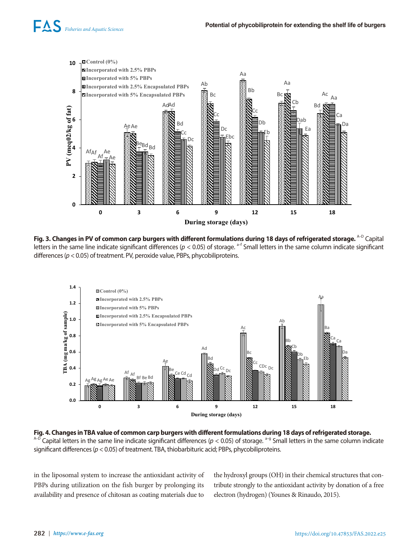

**Fig. 3. Changes in PV of common carp burgers with different formulations during 18 days of refrigerated storage.** <sup>A–D</sup> Capital letters in the same line indicate significant differences (*p* < 0.05) of storage. <sup>a–f</sup> Small letters in the same column indicate significant differences (*p* < 0.05) of treatment. PV, peroxide value, PBPs, phycobiliproteins.



**Fig. 4. Changes in TBA value of common carp burgers with different formulations during 18 days of refrigerated storage.**   $A-D$  Capital letters in the same line indicate significant differences ( $p < 0.05$ ) of storage.  $a-g$  Small letters in the same column indicate significant differences (*p* < 0.05) of treatment. TBA, thiobarbituric acid; PBPs, phycobiliproteins.

in the liposomal system to increase the antioxidant activity of PBPs during utilization on the fish burger by prolonging its availability and presence of chitosan as coating materials due to

the hydroxyl groups (OH) in their chemical structures that contribute strongly to the antioxidant activity by donation of a free electron (hydrogen) (Younes & Rinaudo, 2015).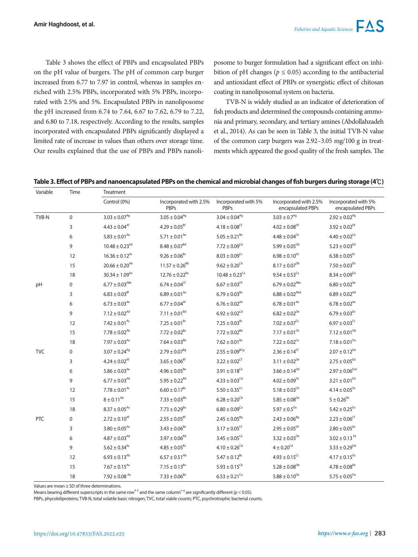Table 3 shows the effect of PBPs and encapsulated PBPs on the pH value of burgers. The pH of common carp burger increased from 6.77 to 7.97 in control, whereas in samples enriched with 2.5% PBPs, incorporated with 5% PBPs, incorporated with 2.5% and 5%. Encapsulated PBPs in nanoliposome the pH increased from 6.74 to 7.64, 6.67 to 7.62, 6.79 to 7.22, and 6.80 to 7.18, respectively. According to the results, samples incorporated with encapsulated PBPs significantly displayed a limited rate of increase in values than others over storage time. Our results explained that the use of PBPs and PBPs nanoli-

posome to burger formulation had a significant effect on inhibition of pH changes ( $p \leq 0.05$ ) according to the antibacterial and antioxidant effect of PBPs or synergistic effect of chitosan coating in nanoliposomal system on bacteria.

TVB-N is widely studied as an indicator of deterioration of fish products and determined the compounds containing ammonia and primary, secondary, and tertiary amines (Abdollahzadeh et al., 2014). As can be seen in Table 3, the initial TVB-N value of the common carp burgers was 2.92–3.05 mg/100 g in treatments which appeared the good quality of the fresh samples. The

**Table 3. Effect of PBPs and nanoencapsulated PBPs on the chemical and microbial changes of fish burgers during storage (4℃)**

| Variable   | Time        | <b>Treatment</b>               |                                       |                                     |                                             |                                           |
|------------|-------------|--------------------------------|---------------------------------------|-------------------------------------|---------------------------------------------|-------------------------------------------|
|            |             | Control (0%)                   | Incorporated with 2.5%<br><b>PBPs</b> | Incorporated with 5%<br><b>PBPs</b> | Incorporated with 2.5%<br>encapsulated PBPs | Incorporated with 5%<br>encapsulated PBPs |
| TVB-N      | $\mathbf 0$ | $3.03\pm0.07^{\text{Ag}}$      | $3.05 \pm 0.04^{Ag}$                  | $3.04 \pm 0.04^{Ag}$                | $3.03\pm0.7^{\text{Ag}}$                    | $2.92 \pm 0.02^{Ag}$                      |
|            | 3           | $4.43 \pm 0.04$ <sup>At</sup>  | $4.29 \pm 0.05$ <sup>Bf</sup>         | $4.18 \pm 0.08^{\rm cf}$            | $4.02 \pm 0.08^{Df}$                        | $3.92 \pm 0.02^{Df}$                      |
|            | 6           | $5.83 \pm 0.01^{Ae}$           | 5.71 $\pm$ 0.01 <sup>Ae</sup>         | $5.05 \pm 0.21^{\text{Be}}$         | $4.48 \pm 0.04$ <sup>Ce</sup>               | $4.40 \pm 0.02$ <sup>Ce</sup>             |
|            | 9           | $10.48 \pm 0.23$ <sup>Ad</sup> | $8.48 \pm 0.07^{8d}$                  | $7.72 \pm 0.09^{\text{Cd}}$         | $5.99\pm0.05^{\text{Dd}}$                   | $5.23\pm0.03^{\text{Ed}}$                 |
|            | 12          | $16.36 \pm 0.12^{Ac}$          | $9.26\pm0.06^{\text{Bc}}$             | $8.03 \pm 0.09^{\text{Cc}}$         | $6.98 \pm 0.10^{Dc}$                        | $6.38\pm0.05^{\text{Ec}}$                 |
|            | 15          | $20.66 \pm 0.20^{Ab}$          | $11.57 \pm 0.26^{8b}$                 | $9.62 \pm 0.20^{Cb}$                | $8.17\pm0.07^\text{Db}$                     | $7.50\pm0.03^{\text{Eb}}$                 |
|            | 18          | $30.34 \pm 1.09^{Aa}$          | $12.76 \pm 0.22$ <sup>Ba</sup>        | $10.48 \pm 0.23$ <sup>Ca</sup>      | $9.54 \pm 0.53$ <sup>Ca</sup>               | $8.34 \pm 0.09^{Da}$                      |
| pH         | 0           | $6.77 \pm 0.03^{ABe}$          | $6.74 \pm 0.04^{\rm Cf}$              | $6.67 \pm 0.03^{Df}$                | $6.79 \pm 0.02^{ABe}$                       | $6.80 \pm 0.02^{Ae}$                      |
|            | 3           | $6.83\pm0.03^{\text{Bf}}$      | $6.89 \pm 0.01^{Ae}$                  | $6.79 \pm 0.03^{8e}$                | $6.88 \pm 0.02$ <sup>Abd</sup>              | $6.89 \pm 0.02^{Ad}$                      |
|            | 6           | $6.73 \pm 0.03^{Ae}$           | $6.77 \pm 0.04$ <sup>Af</sup>         | $6.76 \pm 0.02^{Ae}$                | $6.78 \pm 0.01^{Ae}$                        | $6.78 \pm 0.02^{Ae}$                      |
|            | 9           | $7.12 \pm 0.02^{Ad}$           | $7.11 \pm 0.01^{Bd}$                  | $6.92 \pm 0.02^{\text{Cd}}$         | $6.82 \pm 0.02^{De}$                        | $6.79 \pm 0.03$ <sup>Ee</sup>             |
|            | 12          | $7.42 \pm 0.01^{Ac}$           | $7.25 \pm 0.01^{Bc}$                  | $7.25 \pm 0.03^{Bc}$                | $7.02 \pm 0.07^{\text{Cc}}$                 | $6.97 \pm 0.03^{\text{Cc}}$               |
|            | 15          | $7.78 \pm 0.02^{Ab}$           | $7.72 \pm 0.02^{8a}$                  | $7.72 \pm 0.02^{8b}$                | $7.17 \pm 0.01^{\text{cb}}$                 | $7.12 \pm 0.01^{Db}$                      |
|            | 18          | $7.97 \pm 0.03^{Aa}$           | $7.64\pm0.03^{\text{Bb}}$             | $7.62\pm0.01^{\text{Ba}}$           | $7.22 \pm 0.02$ <sup>Ca</sup>               | $7.18 \pm 0.01^{Da}$                      |
| <b>TVC</b> | 0           | $3.07 \pm 0.24^{Ag}$           | $2.79 \pm 0.07^{Bg}$                  | $2.55 \pm 0.09^{BCg}$               | $2.36 \pm 0.14^{\rm Cf}$                    | $2.07 \pm 0.12^{De}$                      |
|            | 3           | $4.24 \pm 0.02$ <sup>Af</sup>  | $3.65 \pm 0.06$ <sup>Bf</sup>         | $3.22 \pm 0.02^{\rm Cf}$            | $3.11 \pm 0.02^{De}$                        | $2.75 \pm 0.05^{Ed}$                      |
|            | 6           | $5.86 \pm 0.03^{Ae}$           | $4.96 \pm 0.05^{8e}$                  | $3.91 \pm 0.18$ <sup>Ce</sup>       | $3.66 \pm 0.14^{Dd}$                        | $2.97 \pm 0.06^{\rm Ecd}$                 |
|            | 9           | $6.77 \pm 0.03$ <sup>Ad</sup>  | $5.95 \pm 0.22^{8d}$                  | $4.33 \pm 0.03^{\text{Cd}}$         | $4.02 \pm 0.09^{Dc}$                        | $3.21 \pm 0.01^{Ed}$                      |
|            | 12          | $7.78 \pm 0.01^{Ac}$           | $6.60 \pm 0.17^{Bc}$                  | $5.50 \pm 0.35$ <sup>Cc</sup>       | $5.18 \pm 0.03^{Cb}$                        | $4.14 \pm 0.05^{Dc}$                      |
|            | 15          | $8\pm0.11^{\text{Ab}}$         | $7.33\pm0.03^{\text{Bb}}$             | $6.28 \pm 0.20$ <sup>Cb</sup>       | $5.85 \pm 0.08^{Da}$                        | $5 \pm 0.26$ <sup>Eb</sup>                |
|            | 18          | $8.37 \pm 0.05^{Aa}$           | $7.73 \pm 0.29^{8a}$                  | $6.80 \pm 0.09$ <sup>Ca</sup>       | 5.97 ± $0.5^{Da}$                           | $5.42\pm0.25^{\text{Ea}}$                 |
| PTC        | 0           | $2.72 \pm 0.10^{Af}$           | $2.55 \pm 0.05$ <sup>Bf</sup>         | $2.45 \pm 0.05^{Bg}$                | $2.43 \pm 0.06^{Bg}$                        | $2.23 \pm 0.06^{\text{C}f}$               |
|            | 3           | $3.80 \pm 0.05^{Ae}$           | $3.43 \pm 0.06^{8e}$                  | $3.17 \pm 0.05$ <sup>Cf</sup>       | $2.95 \pm 0.05^{Df}$                        | $2.80 \pm 0.05$ <sup>Ee</sup>             |
|            | 6           | $4.87 \pm 0.03$ <sup>Ad</sup>  | $3.97 \pm 0.06^{8d}$                  | $3.45 \pm 0.05^{\text{Ce}}$         | $3.32 \pm 0.03^{De}$                        | $3.02 \pm 0.13$ <sup>Ee</sup>             |
|            | 9           | $5.62\pm0.34^{\text{Ac}}$      | $4.85 \pm 0.05^{Bc}$                  | $4.10 \pm 0.26^{\rm Cd}$            | $4\pm0.20^{\text{Cd}}$                      | $3.33 \pm 0.29^{Dd}$                      |
|            | 12          | $6.93 \pm 0.13^{Ab}$           | $6.57 \pm 0.51^{Ab}$                  | $5.47 \pm 0.12^{Bc}$                | $4.93 \pm 0.15^{\text{Cc}}$                 | $4.17 \pm 0.15^{Dc}$                      |
|            | 15          | $7.67 \pm 0.15^{Aa}$           | $7.15 \pm 0.13^{Ba}$                  | $5.93\pm0.15^{\text{Cb}}$           | $5.28 \pm 0.08^{Db}$                        | $4.78\pm0.08^\text{Eb}$                   |
|            | 18          | $7.92 \pm 0.08$ <sup>Aa</sup>  | $7.33 \pm 0.06^{8a}$                  | $6.53 \pm 0.21$ <sup>Ca</sup>       | $5.88 \pm 0.10^{Da}$                        | $5.75 \pm 0.05^{Da}$                      |

Values are mean ± SD of three determinations.

Means bearing different superscripts in the same row<sup>A-E</sup> and the same column<sup>a-g</sup> are significantly different ( $p < 0.05$ ).

PBPs, phycobiliproteins; TVB-N, total volatile basic nitrogen; TVC, total viable counts; PTC, psychrotrophic bacterial counts.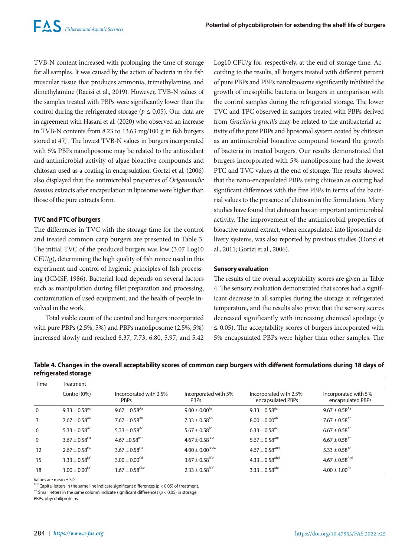TVB-N content increased with prolonging the time of storage for all samples. It was caused by the action of bacteria in the fish muscular tissue that produces ammonia, trimethylamine, and dimethylamine (Raeisi et al., 2019). However, TVB-N values of the samples treated with PBPs were significantly lower than the control during the refrigerated storage ( $p \le 0.05$ ). Our data are in agreement with Hasani et al. (2020) who observed an increase in TVB-N contents from 8.23 to 13.63 mg/100 g in fish burgers stored at 4℃. The lowest TVB-N values in burgers incorporated with 5% PBPs nanoliposome may be related to the antioxidant and antimicrobial activity of algae bioactive compounds and chitosan used as a coating in encapsulation. Gortzi et al. (2006) also displayed that the antimicrobial properties of *Origanumdic tamnus* extracts after encapsulation in liposome were higher than those of the pure extracts form.

#### **TVC and PTC of burgers**

The differences in TVC with the storage time for the control and treated common carp burgers are presented in Table 3. The initial TVC of the produced burgers was low (3.07 Log10 CFU/g), determining the high quality of fish mince used in this experiment and control of hygienic principles of fish processing (ICMSF, 1986). Bacterial load depends on several factors such as manipulation during fillet preparation and processing, contamination of used equipment, and the health of people involved in the work.

Total viable count of the control and burgers incorporated with pure PBPs (2.5%, 5%) and PBPs nanoliposome (2.5%, 5%) increased slowly and reached 8.37, 7.73, 6.80, 5.97, and 5.42 Log10 CFU/g for, respectively, at the end of storage time. According to the results, all burgers treated with different percent of pure PBPs and PBPs nanoliposome significantly inhibited the growth of mesophilic bacteria in burgers in comparison with the control samples during the refrigerated storage. The lower TVC and TPC observed in samples treated with PBPs derived from *Gracilaria gracilis* may be related to the antibacterial activity of the pure PBPs and liposomal system coated by chitosan as an antimicrobial bioactive compound toward the growth of bacteria in treated burgers. Our results demonstrated that burgers incorporated with 5% nanoliposome had the lowest PTC and TVC values at the end of storage. The results showed that the nano-encapsulated PBPs using chitosan as coating had significant differences with the free PBPs in terms of the bacterial values to the presence of chitosan in the formulation. Many studies have found that chitosan has an important antimicrobial activity. The improvement of the antimicrobial properties of bioactive natural extract, when encapsulated into liposomal delivery systems, was also reported by previous studies (Donsì et al., 2011; Gortzi et al., 2006).

#### **Sensory evaluation**

The results of the overall acceptability scores are given in Table 4. The sensory evaluation demonstrated that scores had a significant decrease in all samples during the storage at refrigerated temperature, and the results also prove that the sensory scores decreased significantly with increasing chemical spoilage (*p*  $\leq$  0.05). The acceptability scores of burgers incorporated with 5% encapsulated PBPs were higher than other samples. The

## **Table 4. Changes in the overall acceptability scores of common carp burgers with different formulations during 18 days of refrigerated storage**

| <b>Time</b><br>Treatment |                               |                                       |                                     |                                             |                                           |  |
|--------------------------|-------------------------------|---------------------------------------|-------------------------------------|---------------------------------------------|-------------------------------------------|--|
|                          | Control (0%)                  | Incorporated with 2.5%<br><b>PBPs</b> | Incorporated with 5%<br><b>PBPs</b> | Incorporated with 2.5%<br>encapsulated PBPs | Incorporated with 5%<br>encapsulated PBPs |  |
| $\mathbf{0}$             | $9.33 \pm 0.58$ <sup>Aa</sup> | $9.67 \pm 0.58$ <sup>Aa</sup>         | $9.00 \pm 0.00^{Aa}$                | $9.33 \pm 0.58$ <sup>Aa</sup>               | $9.67 \pm 0.58$ <sup>Aa</sup>             |  |
| 3                        | $7.67 \pm 0.58^{Ab}$          | $7.67 \pm 0.58^{Ab}$                  | $7.33 \pm 0.58$ <sup>Ab</sup>       | $8.00 \pm 0.00^{Ab}$                        | $7.67 \pm 0.58$ <sup>Ab</sup>             |  |
| 6                        | $5.33 \pm 0.58$ <sup>Ac</sup> | $5.33 \pm 0.58$ <sup>Ac</sup>         | $5.67 \pm 0.58$ <sup>Ac</sup>       | $6.33 \pm 0.58$ <sup>Ac</sup>               | $6.67 \pm 0.58^{Ab}$                      |  |
| 9                        | $3.67 \pm 0.58^{\text{Cd}}$   | $4.67 \pm 0.58$ <sup>BCc</sup>        | $4.67 \pm 0.58^{BCd}$               | $5.67 \pm 0.58^{ABC}$                       | $6.67 \pm 0.58^{Ab}$                      |  |
| 12                       | $2.67 \pm 0.58^{De}$          | $3.67 \pm 0.58^{\text{Cd}}$           | $4.00 \pm 0.00$ <sup>BCde</sup>     | $4.67 \pm 0.58^{\text{ABd}}$                | 5.33 $\pm$ 0.58 <sup>Ac</sup>             |  |
| 15                       | $1.33 \pm 0.58$ <sup>Df</sup> | $3.00\pm0.00^{\text{Cd}}$             | $3.67 \pm 0.58$ <sup>BCe</sup>      | $4.33 \pm 0.58$ <sup>ABd</sup>              | $4.67 \pm 0.58$ <sup>Acd</sup>            |  |
| 18                       | $1.00 \pm 0.00^{Df}$          | $1.67 \pm 0.58^{\text{CDe}}$          | $2.33 \pm 0.58$ <sup>BCf</sup>      | $3.33 \pm 0.58$ <sup>ABe</sup>              | $4.00 \pm 1.00^{Ad}$                      |  |

Values are mean  $\pm$  SD.<br><sup>A-D</sup> Capital letters in the same line indicate significant differences ( $p < 0.05$ ) of treatment.

 $a-f$  Small letters in the same column indicate significant differences ( $p < 0.05$ ) in storage.

PBPs, phycobiliproteins.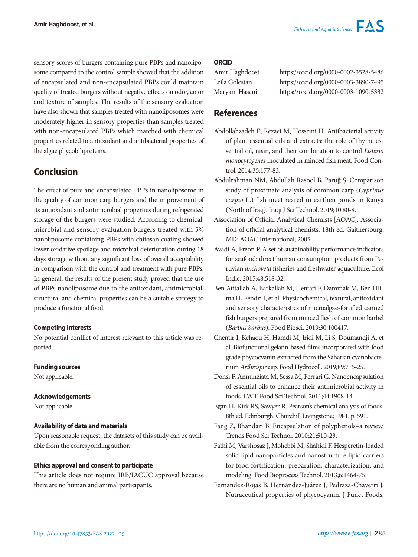sensory scores of burgers containing pure PBPs and nanoliposome compared to the control sample showed that the addition of encapsulated and non-encapsulated PBPs could maintain quality of treated burgers without negative effects on odor, color and texture of samples. The results of the sensory evaluation have also shown that samples treated with nanoliposomes were moderately higher in sensory properties than samples treated with non-encapsulated PBPs which matched with chemical properties related to antioxidant and antibacterial properties of the algae phycobiliproteins.

# **Conclusion**

The effect of pure and encapsulated PBPs in nanoliposome in the quality of common carp burgers and the improvement of its antioxidant and antimicrobial properties during refrigerated storage of the burgers were studied. According to chemical, microbial and sensory evaluation burgers treated with 5% nanoliposome containing PBPs with chitosan coating showed lower oxidative spoilage and microbial deterioration during 18 days storage without any significant loss of overall acceptability in comparison with the control and treatment with pure PBPs. In general, the results of the present study proved that the use of PBPs nanoliposome due to the antioxidant, antimicrobial, structural and chemical properties can be a suitable strategy to produce a functional food.

## **Competing interests**

No potential conflict of interest relevant to this article was reported.

## **Funding sources**

Not applicable.

## **Acknowledgements**

Not applicable.

## **Availability of data and materials**

Upon reasonable request, the datasets of this study can be available from the corresponding author.

## **Ethics approval and consent to participate**

This article does not require IRB/IACUC approval because there are no human and animal participants.

#### **ORCID**

| Amir Haghdoost |
|----------------|
| Leila Golestan |
| Maryam Hasani  |

https://orcid.org/0000-0002-3528-5486 https://orcid.org/0000-0003-3890-7495 https://orcid.org/0000-0003-1090-5332

# **References**

- Abdollahzadeh E, Rezaei M, Hosseini H. Antibacterial activity of plant essential oils and extracts: the role of thyme essential oil, nisin, and their combination to control *Listeria monocytogenes* inoculated in minced fish meat. Food Control. 2014;35:177-83.
- Abdulrahman NM, Abdullah Rasool B, Paruğ Ş. Comparıson study of proximate analysis of common carp (*Cyprinus carpio* L.) fish meet reared in earthen ponds in Ranya (North of Iraq). Iraqi J Sci Technol. 2019;10:80-8.
- Association of Official Analytical Chemists [AOAC]. Association of official analytical chemists. 18th ed. Gaithersburg, MD: AOAC International; 2005.
- Avadí A, Fréon P. A set of sustainability performance indicators for seafood: direct human consumption products from Peruvian *anchoveta* fisheries and freshwater aquaculture. Ecol Indic. 2015;48:518-32.
- Ben Atitallah A, Barkallah M, Hentati F, Dammak M, Ben Hlima H, Fendri I, et al. Physicochemical, textural, antioxidant and sensory characteristics of microalgae-fortified canned fish burgers prepared from minced flesh of common barbel (*Barbus barbus*). Food Biosci. 2019;30:100417.
- Chentir I, Kchaou H, Hamdi M, Jridi M, Li S, Doumandji A, et al. Biofunctional gelatin-based films incorporated with food grade phycocyanin extracted from the Saharian cyanobacterium *Arthrospira* sp. Food Hydrocoll. 2019;89:715-25.
- Donsì F, Annunziata M, Sessa M, Ferrari G. Nanoencapsulation of essential oils to enhance their antimicrobial activity in foods. LWT-Food Sci Technol. 2011;44:1908-14.
- Egan H, Kirk RS, Sawyer R. Pearson's chemical analysis of foods. 8th ed. Edinburgh: Churchill Livingstone; 1981. p. 591.
- Fang Z, Bhandari B. Encapsulation of polyphenols–a review. Trends Food Sci Technol. 2010;21:510-23.
- Fathi M, Varshosaz J, Mohebbi M, Shahidi F. Hesperetin-loaded solid lipid nanoparticles and nanostructure lipid carriers for food fortification: preparation, characterization, and modeling. Food Bioprocess Technol. 2013;6:1464-75.
- Fernandez-Rojas B, Hernández-Juárez J, Pedraza-Chaverri J. Nutraceutical properties of phycocyanin. J Funct Foods.